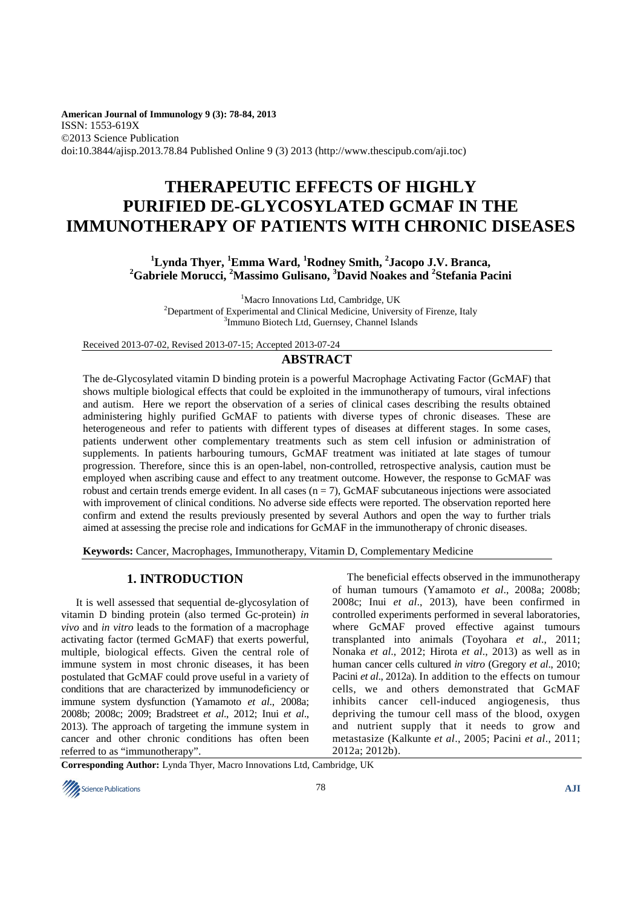**American Journal of Immunology 9 (3): 78-84, 2013**  ISSN: 1553-619X ©2013 Science Publication doi:10.3844/ajisp.2013.78.84 Published Online 9 (3) 2013 (http://www.thescipub.com/aji.toc)

# **THERAPEUTIC EFFECTS OF HIGHLY PURIFIED DE-GLYCOSYLATED GCMAF IN THE IMMUNOTHERAPY OF PATIENTS WITH CHRONIC DISEASES**

**<sup>1</sup>Lynda Thyer, <sup>1</sup>Emma Ward, <sup>1</sup>Rodney Smith, <sup>2</sup> Jacopo J.V. Branca, <sup>2</sup>Gabriele Morucci, <sup>2</sup>Massimo Gulisano, <sup>3</sup>David Noakes and <sup>2</sup> Stefania Pacini** 

<sup>1</sup>Macro Innovations Ltd, Cambridge, UK  $2$ Department of Experimental and Clinical Medicine, University of Firenze, Italy 3 Immuno Biotech Ltd, Guernsey, Channel Islands

Received 2013-07-02, Revised 2013-07-15; Accepted 2013-07-24

# **ABSTRACT**

The de-Glycosylated vitamin D binding protein is a powerful Macrophage Activating Factor (GcMAF) that shows multiple biological effects that could be exploited in the immunotherapy of tumours, viral infections and autism. Here we report the observation of a series of clinical cases describing the results obtained administering highly purified GcMAF to patients with diverse types of chronic diseases. These are heterogeneous and refer to patients with different types of diseases at different stages. In some cases, patients underwent other complementary treatments such as stem cell infusion or administration of supplements. In patients harbouring tumours, GcMAF treatment was initiated at late stages of tumour progression. Therefore, since this is an open-label, non-controlled, retrospective analysis, caution must be employed when ascribing cause and effect to any treatment outcome. However, the response to GcMAF was robust and certain trends emerge evident. In all cases  $(n = 7)$ , GcMAF subcutaneous injections were associated with improvement of clinical conditions. No adverse side effects were reported. The observation reported here confirm and extend the results previously presented by several Authors and open the way to further trials aimed at assessing the precise role and indications for GcMAF in the immunotherapy of chronic diseases.

**Keywords:** Cancer, Macrophages, Immunotherapy, Vitamin D, Complementary Medicine

# **1. INTRODUCTION**

It is well assessed that sequential de-glycosylation of vitamin D binding protein (also termed Gc-protein) *in vivo* and *in vitro* leads to the formation of a macrophage activating factor (termed GcMAF) that exerts powerful, multiple, biological effects. Given the central role of immune system in most chronic diseases, it has been postulated that GcMAF could prove useful in a variety of conditions that are characterized by immunodeficiency or immune system dysfunction (Yamamoto *et al*., 2008a; 2008b; 2008c; 2009; Bradstreet *et al*., 2012; Inui *et al*., 2013). The approach of targeting the immune system in cancer and other chronic conditions has often been referred to as "immunotherapy".

The beneficial effects observed in the immunotherapy of human tumours (Yamamoto *et al*., 2008a; 2008b; 2008c; Inui *et al*., 2013), have been confirmed in controlled experiments performed in several laboratories, where GcMAF proved effective against tumours transplanted into animals (Toyohara *et al*., 2011; Nonaka *et al*., 2012; Hirota *et al*., 2013) as well as in human cancer cells cultured *in vitro* (Gregory *et al*., 2010; Pacini *et al*., 2012a). In addition to the effects on tumour cells, we and others demonstrated that GcMAF inhibits cancer cell-induced angiogenesis, thus depriving the tumour cell mass of the blood, oxygen and nutrient supply that it needs to grow and metastasize (Kalkunte *et al*., 2005; Pacini *et al*., 2011; 2012a; 2012b).

**Corresponding Author:** Lynda Thyer, Macro Innovations Ltd, Cambridge, UK

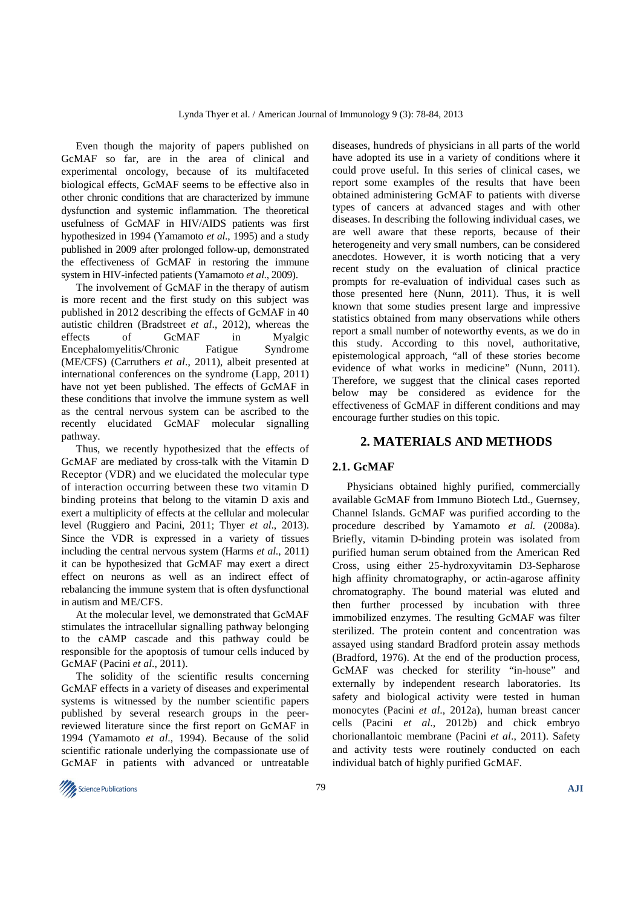Even though the majority of papers published on GcMAF so far, are in the area of clinical and experimental oncology, because of its multifaceted biological effects, GcMAF seems to be effective also in other chronic conditions that are characterized by immune dysfunction and systemic inflammation. The theoretical usefulness of GcMAF in HIV/AIDS patients was first hypothesized in 1994 (Yamamoto *et al*., 1995) and a study published in 2009 after prolonged follow-up, demonstrated the effectiveness of GcMAF in restoring the immune system in HIV-infected patients (Yamamoto *et al*., 2009).

The involvement of GcMAF in the therapy of autism is more recent and the first study on this subject was published in 2012 describing the effects of GcMAF in 40 autistic children (Bradstreet *et al*., 2012), whereas the effects of GcMAF in Myalgic Encephalomyelitis/Chronic Fatigue Syndrome (ME/CFS) (Carruthers *et al*., 2011), albeit presented at international conferences on the syndrome (Lapp, 2011) have not yet been published. The effects of GcMAF in these conditions that involve the immune system as well as the central nervous system can be ascribed to the recently elucidated GcMAF molecular signalling pathway.

Thus, we recently hypothesized that the effects of GcMAF are mediated by cross-talk with the Vitamin D Receptor (VDR) and we elucidated the molecular type of interaction occurring between these two vitamin D binding proteins that belong to the vitamin D axis and exert a multiplicity of effects at the cellular and molecular level (Ruggiero and Pacini, 2011; Thyer *et al*., 2013). Since the VDR is expressed in a variety of tissues including the central nervous system (Harms *et al*., 2011) it can be hypothesized that GcMAF may exert a direct effect on neurons as well as an indirect effect of rebalancing the immune system that is often dysfunctional in autism and ME/CFS.

At the molecular level, we demonstrated that GcMAF stimulates the intracellular signalling pathway belonging to the cAMP cascade and this pathway could be responsible for the apoptosis of tumour cells induced by GcMAF (Pacini *et al*., 2011).

The solidity of the scientific results concerning GcMAF effects in a variety of diseases and experimental systems is witnessed by the number scientific papers published by several research groups in the peerreviewed literature since the first report on GcMAF in 1994 (Yamamoto *et al*., 1994). Because of the solid scientific rationale underlying the compassionate use of GcMAF in patients with advanced or untreatable

diseases, hundreds of physicians in all parts of the world have adopted its use in a variety of conditions where it could prove useful. In this series of clinical cases, we report some examples of the results that have been obtained administering GcMAF to patients with diverse types of cancers at advanced stages and with other diseases. In describing the following individual cases, we are well aware that these reports, because of their heterogeneity and very small numbers, can be considered anecdotes. However, it is worth noticing that a very recent study on the evaluation of clinical practice prompts for re-evaluation of individual cases such as those presented here (Nunn, 2011). Thus, it is well known that some studies present large and impressive statistics obtained from many observations while others report a small number of noteworthy events, as we do in this study. According to this novel, authoritative, epistemological approach, "all of these stories become evidence of what works in medicine" (Nunn, 2011). Therefore, we suggest that the clinical cases reported below may be considered as evidence for the effectiveness of GcMAF in different conditions and may encourage further studies on this topic.

## **2. MATERIALS AND METHODS**

## **2.1. GcMAF**

Physicians obtained highly purified, commercially available GcMAF from Immuno Biotech Ltd., Guernsey, Channel Islands. GcMAF was purified according to the procedure described by Yamamoto *et al.* (2008a). Briefly, vitamin D-binding protein was isolated from purified human serum obtained from the American Red Cross, using either 25-hydroxyvitamin D3-Sepharose high affinity chromatography, or actin-agarose affinity chromatography. The bound material was eluted and then further processed by incubation with three immobilized enzymes. The resulting GcMAF was filter sterilized. The protein content and concentration was assayed using standard Bradford protein assay methods (Bradford, 1976). At the end of the production process, GcMAF was checked for sterility "in-house" and externally by independent research laboratories. Its safety and biological activity were tested in human monocytes (Pacini *et al*., 2012a), human breast cancer cells (Pacini *et al*., 2012b) and chick embryo chorionallantoic membrane (Pacini *et al*., 2011). Safety and activity tests were routinely conducted on each individual batch of highly purified GcMAF.

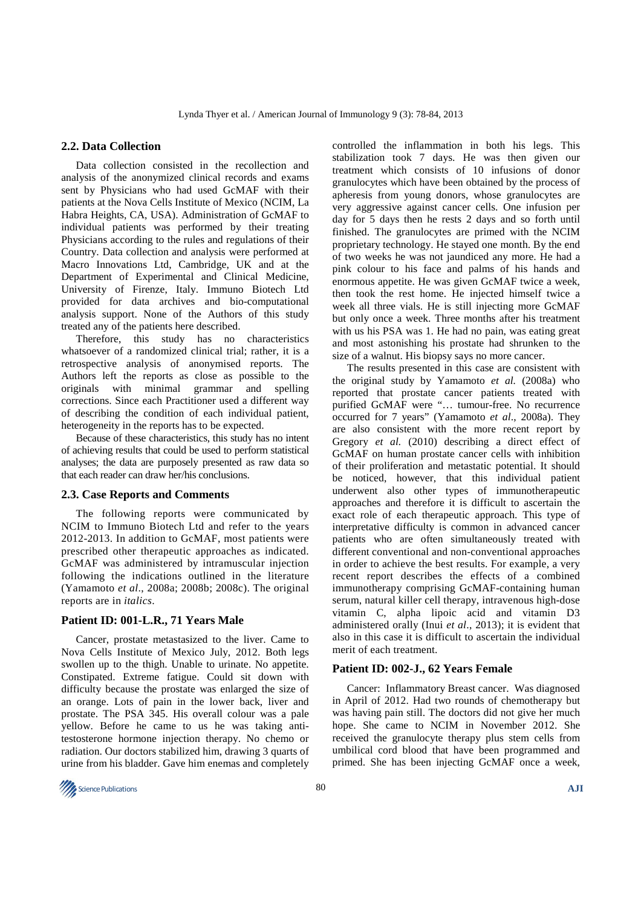## **2.2. Data Collection**

Data collection consisted in the recollection and analysis of the anonymized clinical records and exams sent by Physicians who had used GcMAF with their patients at the Nova Cells Institute of Mexico (NCIM, La Habra Heights, CA, USA). Administration of GcMAF to individual patients was performed by their treating Physicians according to the rules and regulations of their Country. Data collection and analysis were performed at Macro Innovations Ltd, Cambridge, UK and at the Department of Experimental and Clinical Medicine, University of Firenze, Italy. Immuno Biotech Ltd provided for data archives and bio-computational analysis support. None of the Authors of this study treated any of the patients here described.

Therefore, this study has no characteristics whatsoever of a randomized clinical trial; rather, it is a retrospective analysis of anonymised reports. The Authors left the reports as close as possible to the originals with minimal grammar and spelling corrections. Since each Practitioner used a different way of describing the condition of each individual patient, heterogeneity in the reports has to be expected.

Because of these characteristics, this study has no intent of achieving results that could be used to perform statistical analyses; the data are purposely presented as raw data so that each reader can draw her/his conclusions.

#### **2.3. Case Reports and Comments**

The following reports were communicated by NCIM to Immuno Biotech Ltd and refer to the years 2012-2013. In addition to GcMAF, most patients were prescribed other therapeutic approaches as indicated. GcMAF was administered by intramuscular injection following the indications outlined in the literature (Yamamoto *et al*., 2008a; 2008b; 2008c). The original reports are in *italics*.

## **Patient ID: 001-L.R., 71 Years Male**

Cancer, prostate metastasized to the liver. Came to Nova Cells Institute of Mexico July, 2012. Both legs swollen up to the thigh. Unable to urinate. No appetite. Constipated. Extreme fatigue. Could sit down with difficulty because the prostate was enlarged the size of an orange. Lots of pain in the lower back, liver and prostate. The PSA 345. His overall colour was a pale yellow. Before he came to us he was taking antitestosterone hormone injection therapy. No chemo or radiation. Our doctors stabilized him, drawing 3 quarts of urine from his bladder. Gave him enemas and completely

controlled the inflammation in both his legs. This stabilization took 7 days. He was then given our treatment which consists of 10 infusions of donor granulocytes which have been obtained by the process of apheresis from young donors, whose granulocytes are very aggressive against cancer cells. One infusion per day for 5 days then he rests 2 days and so forth until finished. The granulocytes are primed with the NCIM proprietary technology. He stayed one month. By the end of two weeks he was not jaundiced any more. He had a pink colour to his face and palms of his hands and enormous appetite. He was given GcMAF twice a week, then took the rest home. He injected himself twice a week all three vials. He is still injecting more GcMAF but only once a week. Three months after his treatment with us his PSA was 1. He had no pain, was eating great and most astonishing his prostate had shrunken to the size of a walnut. His biopsy says no more cancer.

The results presented in this case are consistent with the original study by Yamamoto *et al.* (2008a) who reported that prostate cancer patients treated with purified GcMAF were "… tumour-free. No recurrence occurred for 7 years" (Yamamoto *et al*., 2008a). They are also consistent with the more recent report by Gregory *et al.* (2010) describing a direct effect of GcMAF on human prostate cancer cells with inhibition of their proliferation and metastatic potential. It should be noticed, however, that this individual patient underwent also other types of immunotherapeutic approaches and therefore it is difficult to ascertain the exact role of each therapeutic approach. This type of interpretative difficulty is common in advanced cancer patients who are often simultaneously treated with different conventional and non-conventional approaches in order to achieve the best results. For example, a very recent report describes the effects of a combined immunotherapy comprising GcMAF-containing human serum, natural killer cell therapy, intravenous high-dose vitamin C, alpha lipoic acid and vitamin D3 administered orally (Inui *et al*., 2013); it is evident that also in this case it is difficult to ascertain the individual merit of each treatment.

### **Patient ID: 002-J., 62 Years Female**

Cancer: Inflammatory Breast cancer. Was diagnosed in April of 2012. Had two rounds of chemotherapy but was having pain still. The doctors did not give her much hope. She came to NCIM in November 2012. She received the granulocyte therapy plus stem cells from umbilical cord blood that have been programmed and primed. She has been injecting GcMAF once a week,

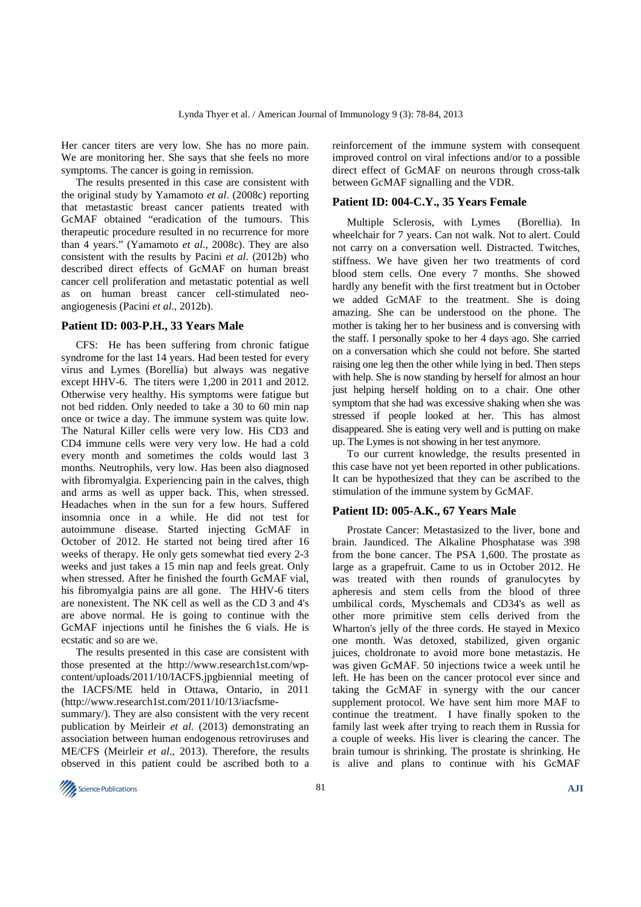Her cancer titers are very low. She has no more pain. We are monitoring her. She says that she feels no more symptoms. The cancer is going in remission.

The results presented in this case are consistent with the original study by Yamamoto *et al*. (2008c) reporting that metastastic breast cancer patients treated with GcMAF obtained "eradication of the tumours. This therapeutic procedure resulted in no recurrence for more than 4 years." (Yamamoto *et al*., 2008c). They are also consistent with the results by Pacini *et al*. (2012b) who described direct effects of GcMAF on human breast cancer cell proliferation and metastatic potential as well as on human breast cancer cell-stimulated neoangiogenesis (Pacini *et al*., 2012b).

#### **Patient ID: 003-P.H., 33 Years Male**

CFS: He has been suffering from chronic fatigue syndrome for the last 14 years. Had been tested for every virus and Lymes (Borellia) but always was negative except HHV-6. The titers were 1,200 in 2011 and 2012. Otherwise very healthy. His symptoms were fatigue but not bed ridden. Only needed to take a 30 to 60 min nap once or twice a day. The immune system was quite low. The Natural Killer cells were very low. His CD3 and CD4 immune cells were very very low. He had a cold every month and sometimes the colds would last 3 months. Neutrophils, very low. Has been also diagnosed with fibromyalgia. Experiencing pain in the calves, thigh and arms as well as upper back. This, when stressed. Headaches when in the sun for a few hours. Suffered insomnia once in a while. He did not test for autoimmune disease. Started injecting GcMAF in October of 2012. He started not being tired after 16 weeks of therapy. He only gets somewhat tied every 2-3 weeks and just takes a 15 min nap and feels great. Only when stressed. After he finished the fourth GcMAF vial, his fibromyalgia pains are all gone. The HHV-6 titers are nonexistent. The NK cell as well as the CD 3 and 4's are above normal. He is going to continue with the GcMAF injections until he finishes the 6 vials. He is ecstatic and so are we.

The results presented in this case are consistent with those presented at the http://www.research1st.com/wpcontent/uploads/2011/10/IACFS.jpgbiennial meeting of the IACFS/ME held in Ottawa, Ontario, in 2011 (http://www.research1st.com/2011/10/13/iacfsme-

summary/). They are also consistent with the very recent publication by Meirleir *et al.* (2013) demonstrating an association between human endogenous retroviruses and ME/CFS (Meirleir *et al*., 2013). Therefore, the results observed in this patient could be ascribed both to a reinforcement of the immune system with consequent improved control on viral infections and/or to a possible direct effect of GcMAF on neurons through cross-talk between GcMAF signalling and the VDR.

#### **Patient ID: 004-C.Y., 35 Years Female**

Multiple Sclerosis, with Lymes (Borellia). In wheelchair for 7 years. Can not walk. Not to alert. Could not carry on a conversation well. Distracted. Twitches, stiffness. We have given her two treatments of cord blood stem cells. One every 7 months. She showed hardly any benefit with the first treatment but in October we added GcMAF to the treatment. She is doing amazing. She can be understood on the phone. The mother is taking her to her business and is conversing with the staff. I personally spoke to her 4 days ago. She carried on a conversation which she could not before. She started raising one leg then the other while lying in bed. Then steps with help. She is now standing by herself for almost an hour just helping herself holding on to a chair. One other symptom that she had was excessive shaking when she was stressed if people looked at her. This has almost disappeared. She is eating very well and is putting on make up. The Lymes is not showing in her test anymore.

To our current knowledge, the results presented in this case have not yet been reported in other publications. It can be hypothesized that they can be ascribed to the stimulation of the immune system by GcMAF.

#### **Patient ID: 005-A.K., 67 Years Male**

Prostate Cancer: Metastasized to the liver, bone and brain. Jaundiced. The Alkaline Phosphatase was 398 from the bone cancer. The PSA 1,600. The prostate as large as a grapefruit. Came to us in October 2012. He was treated with then rounds of granulocytes by apheresis and stem cells from the blood of three umbilical cords, Myschemals and CD34's as well as other more primitive stem cells derived from the Wharton's jelly of the three cords. He stayed in Mexico one month. Was detoxed, stabilized, given organic juices, choldronate to avoid more bone metastazis. He was given GcMAF. 50 injections twice a week until he left. He has been on the cancer protocol ever since and taking the GcMAF in synergy with the our cancer supplement protocol. We have sent him more MAF to continue the treatment. I have finally spoken to the family last week after trying to reach them in Russia for a couple of weeks. His liver is clearing the cancer. The brain tumour is shrinking. The prostate is shrinking. He is alive and plans to continue with his GcMAF

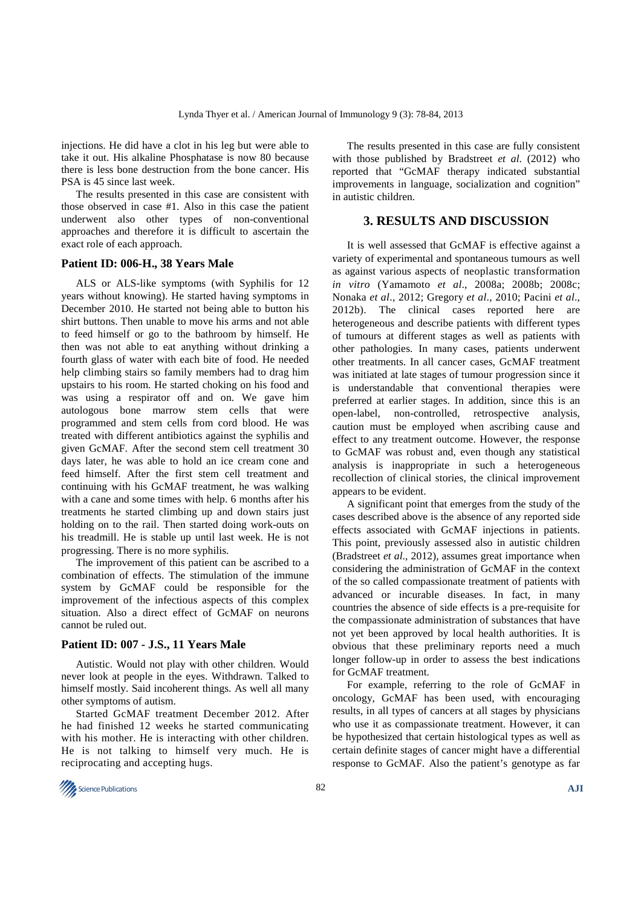injections. He did have a clot in his leg but were able to take it out. His alkaline Phosphatase is now 80 because there is less bone destruction from the bone cancer. His PSA is 45 since last week.

The results presented in this case are consistent with those observed in case #1. Also in this case the patient underwent also other types of non-conventional approaches and therefore it is difficult to ascertain the exact role of each approach.

## **Patient ID: 006-H., 38 Years Male**

ALS or ALS-like symptoms (with Syphilis for 12 years without knowing). He started having symptoms in December 2010. He started not being able to button his shirt buttons. Then unable to move his arms and not able to feed himself or go to the bathroom by himself. He then was not able to eat anything without drinking a fourth glass of water with each bite of food. He needed help climbing stairs so family members had to drag him upstairs to his room. He started choking on his food and was using a respirator off and on. We gave him autologous bone marrow stem cells that were programmed and stem cells from cord blood. He was treated with different antibiotics against the syphilis and given GcMAF. After the second stem cell treatment 30 days later, he was able to hold an ice cream cone and feed himself. After the first stem cell treatment and continuing with his GcMAF treatment, he was walking with a cane and some times with help. 6 months after his treatments he started climbing up and down stairs just holding on to the rail. Then started doing work-outs on his treadmill. He is stable up until last week. He is not progressing. There is no more syphilis.

The improvement of this patient can be ascribed to a combination of effects. The stimulation of the immune system by GcMAF could be responsible for the improvement of the infectious aspects of this complex situation. Also a direct effect of GcMAF on neurons cannot be ruled out.

#### **Patient ID: 007 - J.S., 11 Years Male**

Autistic. Would not play with other children. Would never look at people in the eyes. Withdrawn. Talked to himself mostly. Said incoherent things. As well all many other symptoms of autism.

Started GcMAF treatment December 2012. After he had finished 12 weeks he started communicating with his mother. He is interacting with other children. He is not talking to himself very much. He is reciprocating and accepting hugs.

The results presented in this case are fully consistent with those published by Bradstreet *et al*. (2012) who reported that "GcMAF therapy indicated substantial improvements in language, socialization and cognition" in autistic children.

## **3. RESULTS AND DISCUSSION**

It is well assessed that GcMAF is effective against a variety of experimental and spontaneous tumours as well as against various aspects of neoplastic transformation *in vitro* (Yamamoto *et al*., 2008a; 2008b; 2008c; Nonaka *et al*., 2012; Gregory *et al*., 2010; Pacini *et al*., 2012b). The clinical cases reported here are heterogeneous and describe patients with different types of tumours at different stages as well as patients with other pathologies. In many cases, patients underwent other treatments. In all cancer cases, GcMAF treatment was initiated at late stages of tumour progression since it is understandable that conventional therapies were preferred at earlier stages. In addition, since this is an open-label, non-controlled, retrospective analysis, caution must be employed when ascribing cause and effect to any treatment outcome. However, the response to GcMAF was robust and, even though any statistical analysis is inappropriate in such a heterogeneous recollection of clinical stories, the clinical improvement appears to be evident.

A significant point that emerges from the study of the cases described above is the absence of any reported side effects associated with GcMAF injections in patients. This point, previously assessed also in autistic children (Bradstreet *et al*., 2012), assumes great importance when considering the administration of GcMAF in the context of the so called compassionate treatment of patients with advanced or incurable diseases. In fact, in many countries the absence of side effects is a pre-requisite for the compassionate administration of substances that have not yet been approved by local health authorities. It is obvious that these preliminary reports need a much longer follow-up in order to assess the best indications for GcMAF treatment.

For example, referring to the role of GcMAF in oncology, GcMAF has been used, with encouraging results, in all types of cancers at all stages by physicians who use it as compassionate treatment. However, it can be hypothesized that certain histological types as well as certain definite stages of cancer might have a differential response to GcMAF. Also the patient's genotype as far

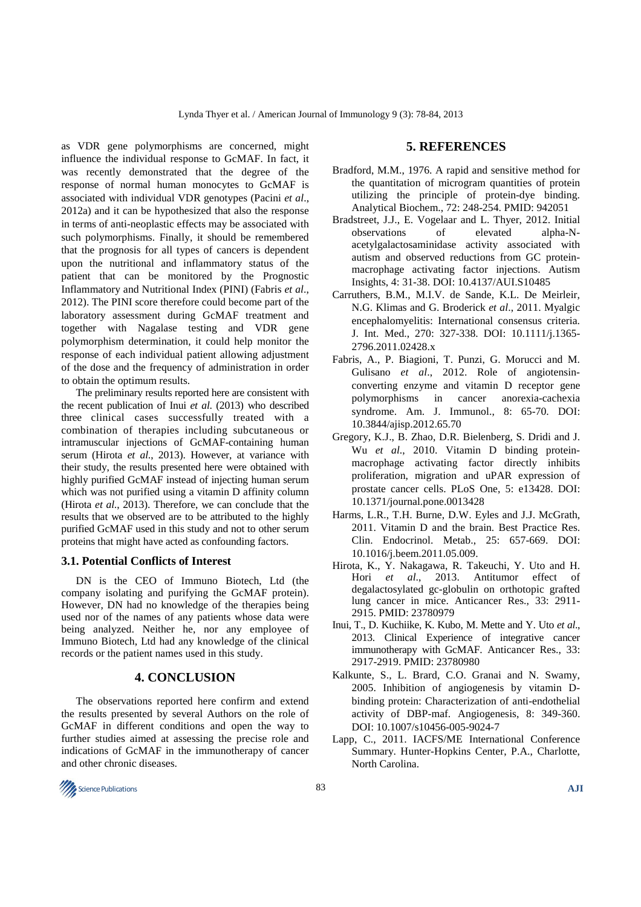as VDR gene polymorphisms are concerned, might influence the individual response to GcMAF. In fact, it was recently demonstrated that the degree of the response of normal human monocytes to GcMAF is associated with individual VDR genotypes (Pacini *et al*., 2012a) and it can be hypothesized that also the response in terms of anti-neoplastic effects may be associated with such polymorphisms. Finally, it should be remembered that the prognosis for all types of cancers is dependent upon the nutritional and inflammatory status of the patient that can be monitored by the Prognostic Inflammatory and Nutritional Index (PINI) (Fabris *et al*., 2012). The PINI score therefore could become part of the laboratory assessment during GcMAF treatment and together with Nagalase testing and VDR gene polymorphism determination, it could help monitor the response of each individual patient allowing adjustment of the dose and the frequency of administration in order to obtain the optimum results.

The preliminary results reported here are consistent with the recent publication of Inui *et al*. (2013) who described three clinical cases successfully treated with a combination of therapies including subcutaneous or intramuscular injections of GcMAF-containing human serum (Hirota *et al*., 2013). However, at variance with their study, the results presented here were obtained with highly purified GcMAF instead of injecting human serum which was not purified using a vitamin D affinity column (Hirota *et al*., 2013). Therefore, we can conclude that the results that we observed are to be attributed to the highly purified GcMAF used in this study and not to other serum proteins that might have acted as confounding factors.

#### **3.1. Potential Conflicts of Interest**

DN is the CEO of Immuno Biotech, Ltd (the company isolating and purifying the GcMAF protein). However, DN had no knowledge of the therapies being used nor of the names of any patients whose data were being analyzed. Neither he, nor any employee of Immuno Biotech, Ltd had any knowledge of the clinical records or the patient names used in this study.

## **4. CONCLUSION**

The observations reported here confirm and extend the results presented by several Authors on the role of GcMAF in different conditions and open the way to further studies aimed at assessing the precise role and indications of GcMAF in the immunotherapy of cancer and other chronic diseases.

## **5. REFERENCES**

- Bradford, M.M., 1976. A rapid and sensitive method for the quantitation of microgram quantities of protein utilizing the principle of protein-dye binding. Analytical Biochem., 72: 248-254. PMID: 942051
- Bradstreet, J.J., E. Vogelaar and L. Thyer, 2012. Initial observations of elevated alpha-Nacetylgalactosaminidase activity associated with autism and observed reductions from GC proteinmacrophage activating factor injections. Autism Insights, 4: 31-38. DOI: 10.4137/AUI.S10485
- Carruthers, B.M., M.I.V. de Sande, K.L. De Meirleir, N.G. Klimas and G. Broderick *et al*., 2011. Myalgic encephalomyelitis: International consensus criteria. J. Int. Med., 270: 327-338. DOI: 10.1111/j.1365- 2796.2011.02428.x
- Fabris, A., P. Biagioni, T. Punzi, G. Morucci and M. Gulisano *et al*., 2012. Role of angiotensinconverting enzyme and vitamin D receptor gene polymorphisms in cancer anorexia-cachexia syndrome. Am. J. Immunol., 8: 65-70. DOI: 10.3844/ajisp.2012.65.70
- Gregory, K.J., B. Zhao, D.R. Bielenberg, S. Dridi and J. Wu *et al*., 2010. Vitamin D binding proteinmacrophage activating factor directly inhibits proliferation, migration and uPAR expression of prostate cancer cells. PLoS One, 5: e13428. DOI: 10.1371/journal.pone.0013428
- Harms, L.R., T.H. Burne, D.W. Eyles and J.J. McGrath, 2011. Vitamin D and the brain. Best Practice Res. Clin. Endocrinol. Metab., 25: 657-669. DOI: 10.1016/j.beem.2011.05.009.
- Hirota, K., Y. Nakagawa, R. Takeuchi, Y. Uto and H. Hori *et al*., 2013. Antitumor effect of degalactosylated gc-globulin on orthotopic grafted lung cancer in mice. Anticancer Res., 33: 2911- 2915. PMID: 23780979
- Inui, T., D. Kuchiike, K. Kubo, M. Mette and Y. Uto *et al*., 2013. Clinical Experience of integrative cancer immunotherapy with GcMAF. Anticancer Res., 33: 2917-2919. PMID: 23780980
- Kalkunte, S., L. Brard, C.O. Granai and N. Swamy, 2005. Inhibition of angiogenesis by vitamin Dbinding protein: Characterization of anti-endothelial activity of DBP-maf. Angiogenesis, 8: 349-360. DOI: 10.1007/s10456-005-9024-7
- Lapp, C., 2011. IACFS/ME International Conference Summary. Hunter-Hopkins Center, P.A., Charlotte, North Carolina.